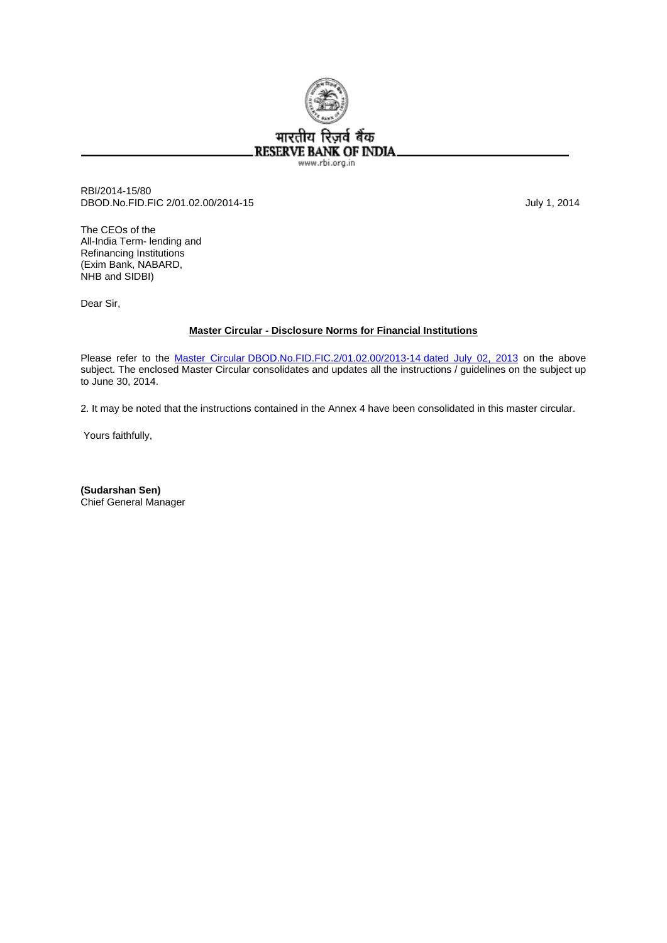

RBI/2014-15/80 DBOD.No.FID.FIC 2/01.02.00/2014-15 July 1, 2014

The CEOs of the All-India Term- lending and Refinancing Institutions (Exim Bank, NABARD, NHB and SIDBI)

Dear Sir,

# **Master Circular - Disclosure Norms for Financial Institutions**

Please refer to the [Master Circular DBOD.No.FID.FIC.2/01.02.00/2013-14 dated July 02, 2013](http://www.rbi.org.in/scripts/BS_ViewMasCirculardetails.aspx?Id=8089&Mode=0) on the above subject. The enclosed Master Circular consolidates and updates all the instructions / guidelines on the subject up to June 30, 2014.

2. It may be noted that the instructions contained in the Annex 4 have been consolidated in this master circular.

Yours faithfully,

**(Sudarshan Sen)**  Chief General Manager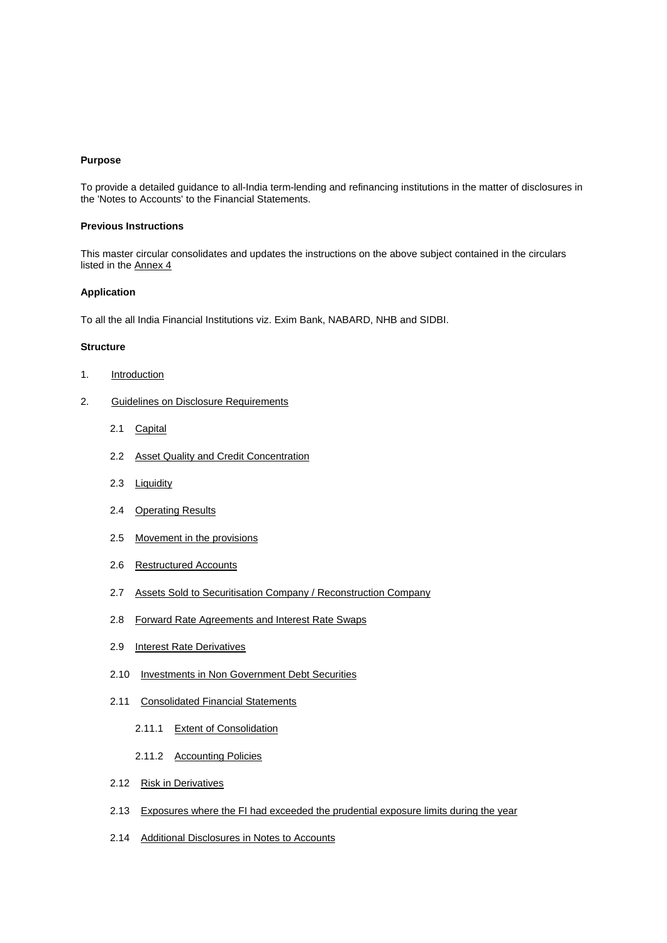## **Purpose**

To provide a detailed guidance to all-India term-lending and refinancing institutions in the matter of disclosures in the 'Notes to Accounts' to the Financial Statements.

# **Previous Instructions**

This master circular consolidates and updates the instructions on the above subject contained in the circulars listed in the Annex 4

## **Application**

To all the all India Financial Institutions viz. Exim Bank, NABARD, NHB and SIDBI.

## **Structure**

- 1. Introduction
- 2. Guidelines on Disclosure Requirements
	- 2.1 Capital
	- 2.2 Asset Quality and Credit Concentration
	- 2.3 Liquidity
	- 2.4 Operating Results
	- 2.5 Movement in the provisions
	- 2.6 Restructured Accounts
	- 2.7 Assets Sold to Securitisation Company / Reconstruction Company
	- 2.8 Forward Rate Agreements and Interest Rate Swaps
	- 2.9 Interest Rate Derivatives
	- 2.10 Investments in Non Government Debt Securities
	- 2.11 Consolidated Financial Statements
		- 2.11.1 Extent of Consolidation
		- 2.11.2 Accounting Policies
	- 2.12 Risk in Derivatives
	- 2.13 Exposures where the FI had exceeded the prudential exposure limits during the year
	- 2.14 Additional Disclosures in Notes to Accounts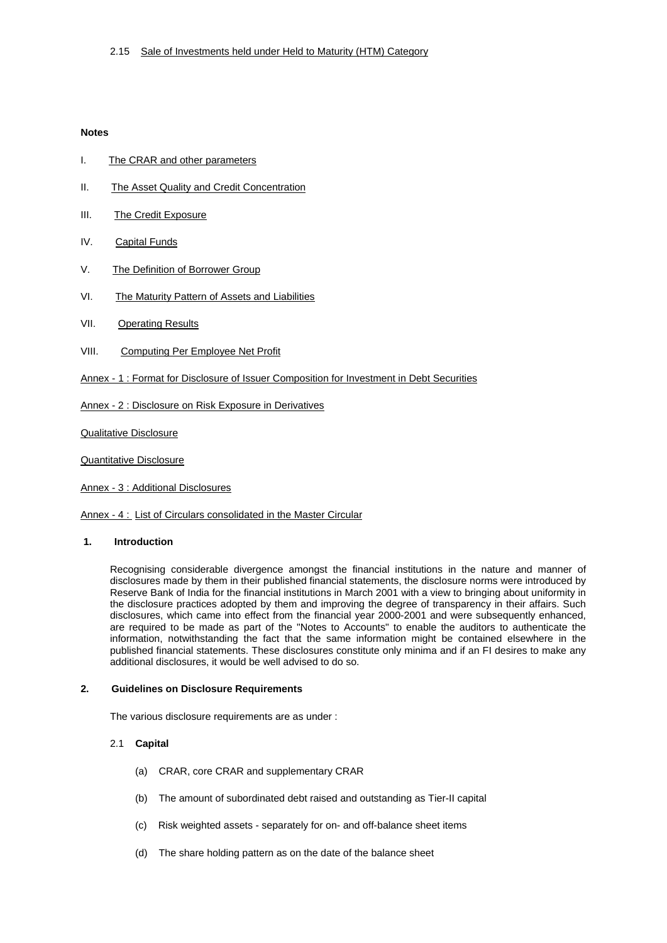# **Notes**

- I. The CRAR and other parameters
- II. The Asset Quality and Credit Concentration
- III. The Credit Exposure
- IV. Capital Funds
- V. The Definition of Borrower Group
- VI. The Maturity Pattern of Assets and Liabilities
- VII. Operating Results
- VIII. Computing Per Employee Net Profit
- Annex 1 : Format for Disclosure of Issuer Composition for Investment in Debt Securities

Annex - 2 : Disclosure on Risk Exposure in Derivatives

Qualitative Disclosure

Quantitative Disclosure

Annex - 3 : Additional Disclosures

Annex - 4 : List of Circulars consolidated in the Master Circular

#### **1. Introduction**

information, notwithstanding the fact that the same information might be contained elsewhere in the published financial statements. These disclosures constitute only minima and if an FI desires to make any Recognising considerable divergence amongst the financial institutions in the nature and manner of disclosures made by them in their published financial statements, the disclosure norms were introduced by Reserve Bank of India for the financial institutions in March 2001 with a view to bringing about uniformity in the disclosure practices adopted by them and improving the degree of transparency in their affairs. Such disclosures, which came into effect from the financial year 2000-2001 and were subsequently enhanced, are required to be made as part of the "Notes to Accounts" to enable the auditors to authenticate the additional disclosures, it would be well advised to do so.

#### **2. Guidelines on Disclosure Requirements**

The various disclosure requirements are as under :

## 2.1 **Capital**

- (a) CRAR, core CRAR and supplementary CRAR
- (b) The amount of subordinated debt raised and outstanding as Tier-II capital
- (c) Risk weighted assets separately for on- and off-balance sheet items
- (d) The share holding pattern as on the date of the balance sheet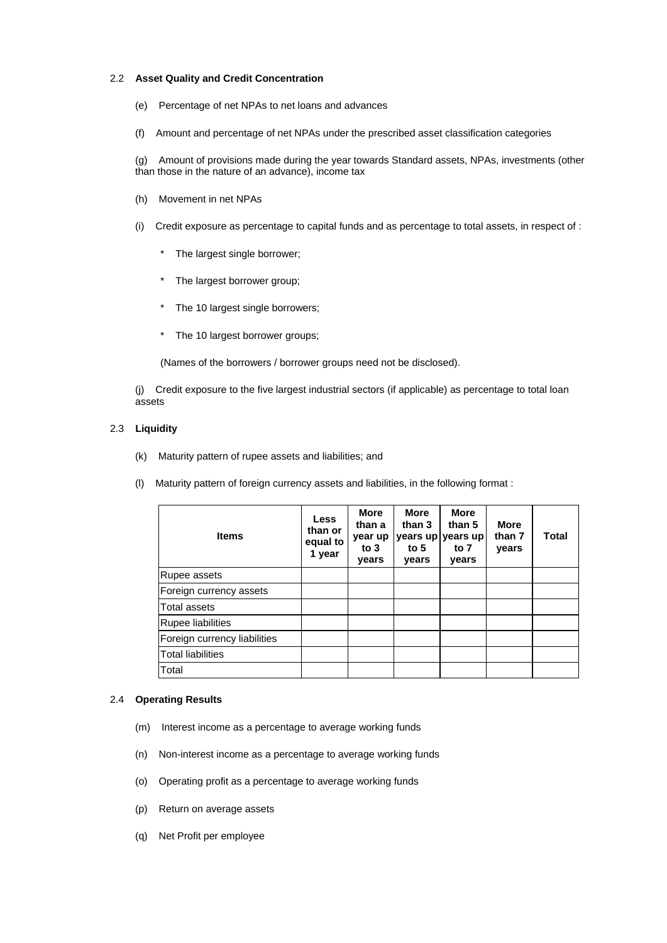## 2.2 **Asset Quality and Credit Concentration**

- (e) Percentage of net NPAs to net loans and advances
- (f) Amount and percentage of net NPAs under the prescribed asset classification categories

(g) Amount of provisions made during the year towards Standard assets, NPAs, investments (other than those in the nature of an advance), income tax

- (h) Movement in net NPAs
- $(i)$  Credit exposure as percentage to capital funds and as percentage to total assets, in respect of :
	- \* The largest single borrower;
	- \* The largest borrower group;
	- \* The 10 largest single borrowers;
	- \* The 10 largest borrower groups;

(Names of the borrowers / borrower groups need not be disclosed).

(j) Credit exposure to the five largest industrial sectors (if applicable) as percentage to total loan assets

## 2.3 **Liquidity**

- (k) Maturity pattern of rupee assets and liabilities; and
- (I) Maturity pattern of foreign currency assets and liabilities, in the following format :

| <b>Items</b>                 | <b>Less</b><br>than or<br>equal to<br>1 year | <b>More</b><br>than a<br>year up<br>to $3$<br>years | <b>More</b><br>than 3<br>years up<br>to $5$<br>years | <b>More</b><br>than 5<br>years up<br>to 7<br>years | <b>More</b><br>than 7<br>years | Total |
|------------------------------|----------------------------------------------|-----------------------------------------------------|------------------------------------------------------|----------------------------------------------------|--------------------------------|-------|
| Rupee assets                 |                                              |                                                     |                                                      |                                                    |                                |       |
| Foreign currency assets      |                                              |                                                     |                                                      |                                                    |                                |       |
| <b>Total assets</b>          |                                              |                                                     |                                                      |                                                    |                                |       |
| Rupee liabilities            |                                              |                                                     |                                                      |                                                    |                                |       |
| Foreign currency liabilities |                                              |                                                     |                                                      |                                                    |                                |       |
| <b>Total liabilities</b>     |                                              |                                                     |                                                      |                                                    |                                |       |
| Total                        |                                              |                                                     |                                                      |                                                    |                                |       |

## 2.4 **Operating Results**

- (m) Interest income as a percentage to average working funds
- (n) Non-interest income as a percentage to average working funds
- (o) Operating profit as a percentage to average working funds
- (p) Return on average assets
- (q) Net Profit per employee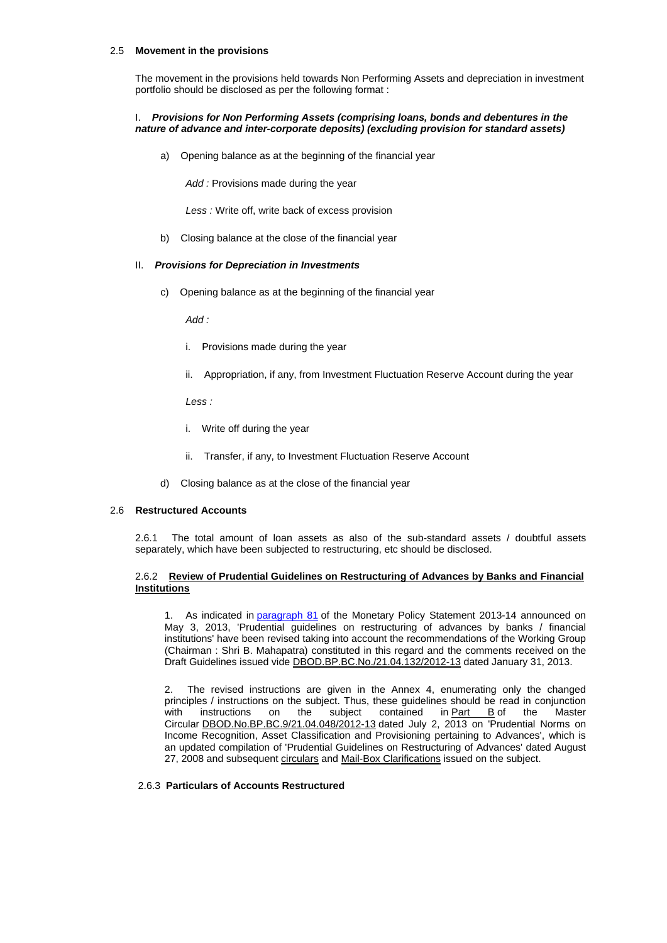## 2.5 **Movement in the provisions**

The movement in the provisions held towards Non Performing Assets and depreciation in investment portfolio should be disclosed as per the following format :

## I. *Provisions for Non Performing Assets (comprising loans, bonds and debentures in the nature of advance and inter-corporate deposits) (excluding provision for standard assets)*

a) Opening balance as at the beginning of the financial year

*Add :* Provisions made during the year

*Less :* Write off, write back of excess provision

b) Closing balance at the close of the financial year

## II. *P rovisions for Depreciation in Investments*

c) Opening balance as at the beginning of the financial year

*Add :*

- i. Provisions made during the year
- ii. Appropriation, if any, from Investment Fluctuation Reserve Account during the year

*Less :*

- i. Write off during the year
- ii. Transfer, if any, to Investment Fluctuation Reserve Account
- d) Closing balance as at the close of the financial year

## 2.6 **Restructured Accounts**

2.6.1 The total amount of loan assets as also of the sub-standard assets / doubtful assets separately, which have been subjected to restructuring, etc should be disclosed.

## 2.6.2 **Review of Prudential Guidelines on Restructuring of Advances by Banks and Financial Institutions**

1. As indicated in paragraph 8[1 of the Monetary Policy Statement 2013-14 announced on](http://rbi.org.in/scripts/NotificationUser.aspx?Id=7956&Mode=0#P81)  [May 3, 2013, 'Prudential guidelines on restructuring of advances by banks / financial](http://rbi.org.in/scripts/NotificationUser.aspx?Id=7956&Mode=0#P81)  [institutions' have been revised taking into account the recommendations of the Working Grou](http://rbi.org.in/scripts/NotificationUser.aspx?Id=7956&Mode=0#P81)p (Chairman : Shri B. Mahapatra) constituted in this regard and the comments received on the Draft Guidelines issued vide DBOD.BP.BC.No./21.04.132/2012-13 dated January 31, 2013.

2. The revised instructions are given in the Annex 4, enumerating only the changed principles / instructions on the subject. Thus, these guidelines should be read in conjunction with instructions on the subject contained in **Part B** of the Master Circular DBOD.No.BP.BC.9/21.04.048/2012-13 dated July 2, 2013 on 'Prudential Norms on Income Recognition, Asset Classification and Provisioning pertaining to Advances', which is an updated compilation of 'Prudential Guidelines on Restructuring of Advances' dated August 27, 2008 and subsequent circulars and Mail-Box Clarifications issued on the subject.

## 2.6.3 **Particulars of Accounts Restructured**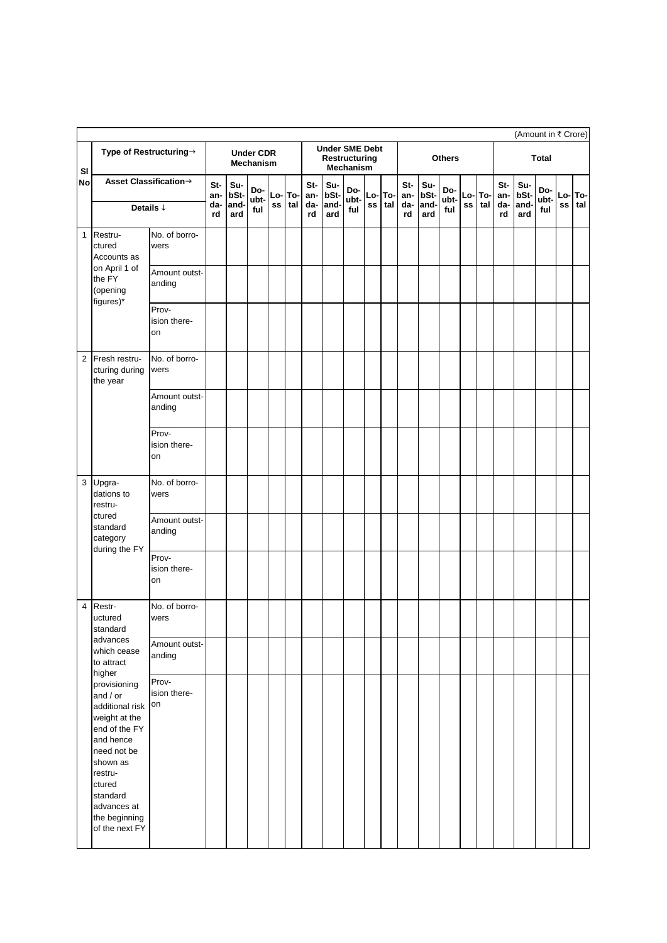|              |                                                                                                                                                                                                          |                             |                   |                     |                                      |    |               |                   |                                        |                    |    |               |                   |                     |                    |                   |            |                   | (Amount in ₹ Crore) |                    |           |            |
|--------------|----------------------------------------------------------------------------------------------------------------------------------------------------------------------------------------------------------|-----------------------------|-------------------|---------------------|--------------------------------------|----|---------------|-------------------|----------------------------------------|--------------------|----|---------------|-------------------|---------------------|--------------------|-------------------|------------|-------------------|---------------------|--------------------|-----------|------------|
| SI           |                                                                                                                                                                                                          | Type of Restructuring→      |                   |                     | <b>Under CDR</b><br><b>Mechanism</b> |    |               |                   | <b>Under SME Debt</b><br>Restructuring | <b>Mechanism</b>   |    |               |                   |                     | <b>Others</b>      |                   |            |                   |                     | <b>Total</b>       |           |            |
| No           | Asset Classification→<br>Details $\downarrow$                                                                                                                                                            |                             | St-<br>an-<br>da- | Su-<br>bSt-<br>and- | Do-<br>ubt-<br>ful                   | SS | Lo-To-<br>tal | St-<br>an-<br>da- | Su-<br>bSt-<br>and-                    | Do-<br>ubt-<br>ful | SS | Lo-To-<br>tal | St-<br>an-<br>da- | Su-<br>bSt-<br>and- | Do-<br>ubt-<br>ful | Lo-<br>${\sf ss}$ | To-<br>tal | St-<br>an-<br>da- | Su-<br>bSt-<br>and- | Do-<br>ubt-<br>ful | Lo-<br>SS | To-<br>tal |
| $\mathbf{1}$ | Restru-                                                                                                                                                                                                  | No. of borro-               | rd                | ard                 |                                      |    |               | rd                | ard                                    |                    |    |               | rd                | ard                 |                    |                   |            | rd                | ard                 |                    |           |            |
|              | ctured<br>Accounts as                                                                                                                                                                                    | wers                        |                   |                     |                                      |    |               |                   |                                        |                    |    |               |                   |                     |                    |                   |            |                   |                     |                    |           |            |
|              | on April 1 of<br>the FY<br>(opening<br>figures)*                                                                                                                                                         | Amount outst-<br>anding     |                   |                     |                                      |    |               |                   |                                        |                    |    |               |                   |                     |                    |                   |            |                   |                     |                    |           |            |
|              |                                                                                                                                                                                                          | Prov-<br>ision there-<br>on |                   |                     |                                      |    |               |                   |                                        |                    |    |               |                   |                     |                    |                   |            |                   |                     |                    |           |            |
| 2            | Fresh restru-<br>cturing during<br>the year                                                                                                                                                              | No. of borro-<br>wers       |                   |                     |                                      |    |               |                   |                                        |                    |    |               |                   |                     |                    |                   |            |                   |                     |                    |           |            |
|              |                                                                                                                                                                                                          | Amount outst-<br>anding     |                   |                     |                                      |    |               |                   |                                        |                    |    |               |                   |                     |                    |                   |            |                   |                     |                    |           |            |
|              |                                                                                                                                                                                                          | Prov-<br>ision there-<br>on |                   |                     |                                      |    |               |                   |                                        |                    |    |               |                   |                     |                    |                   |            |                   |                     |                    |           |            |
| 3            | Upgra-<br>dations to<br>restru-                                                                                                                                                                          | No. of borro-<br>wers       |                   |                     |                                      |    |               |                   |                                        |                    |    |               |                   |                     |                    |                   |            |                   |                     |                    |           |            |
|              | ctured<br>standard<br>category<br>during the FY                                                                                                                                                          | Amount outst-<br>anding     |                   |                     |                                      |    |               |                   |                                        |                    |    |               |                   |                     |                    |                   |            |                   |                     |                    |           |            |
|              |                                                                                                                                                                                                          | Prov-<br>ision there-<br>on |                   |                     |                                      |    |               |                   |                                        |                    |    |               |                   |                     |                    |                   |            |                   |                     |                    |           |            |
| 4            | Restr-<br>uctured<br>standard                                                                                                                                                                            | No. of borro-<br>wers       |                   |                     |                                      |    |               |                   |                                        |                    |    |               |                   |                     |                    |                   |            |                   |                     |                    |           |            |
|              | advances<br>which cease<br>to attract<br>higher                                                                                                                                                          | Amount outst-<br>anding     |                   |                     |                                      |    |               |                   |                                        |                    |    |               |                   |                     |                    |                   |            |                   |                     |                    |           |            |
|              | provisioning<br>and / or<br>additional risk<br>weight at the<br>end of the FY<br>and hence<br>need not be<br>shown as<br>restru-<br>ctured<br>standard<br>advances at<br>the beginning<br>of the next FY | Prov-<br>ision there-<br>on |                   |                     |                                      |    |               |                   |                                        |                    |    |               |                   |                     |                    |                   |            |                   |                     |                    |           |            |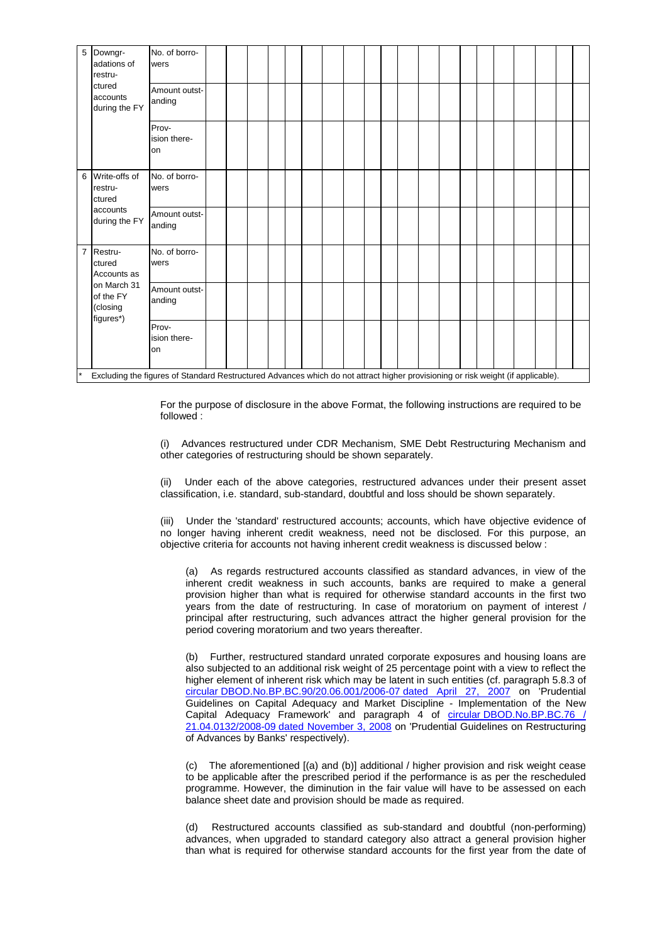| 5              | Downgr-<br>adations of<br>restru-                 | No. of borro-<br>wers       |  |  |  |  |  |  |  |  |  |  |
|----------------|---------------------------------------------------|-----------------------------|--|--|--|--|--|--|--|--|--|--|
|                | ctured<br>accounts<br>during the FY               | Amount outst-<br>anding     |  |  |  |  |  |  |  |  |  |  |
|                |                                                   | Prov-<br>ision there-<br>on |  |  |  |  |  |  |  |  |  |  |
| 6              | Write-offs of<br>restru-<br>ctured                | No. of borro-<br>wers       |  |  |  |  |  |  |  |  |  |  |
|                | accounts<br>during the FY                         | Amount outst-<br>anding     |  |  |  |  |  |  |  |  |  |  |
| $\overline{7}$ | Restru-<br>ctured<br>Accounts as                  | No. of borro-<br>wers       |  |  |  |  |  |  |  |  |  |  |
|                | on March 31<br>of the FY<br>(closing<br>figures*) | Amount outst-<br>anding     |  |  |  |  |  |  |  |  |  |  |
|                |                                                   | Prov-<br>ision there-<br>on |  |  |  |  |  |  |  |  |  |  |

Excluding the figures of Standard Restructured Advances which do not attract higher provisioning or risk weight (if applicable).

For the purpose of disclosure in the above Format, the following instructions are required to be followed :

(i) Advances restructured under CDR Mechanism, SME Debt Restructuring Mechanism and other categories of restructuring should be shown separately.

(ii) Under each of the above categories, restructured advances under their present asset classification, i.e. standard, sub-standard, doubtful and loss should be shown separately.

(iii) Under the 'standard' restructured accounts; accounts, which have objective evidence of no lo nger having inherent credit weakness, need not be disclosed. For this purpose, an objec tive criteria for accounts not having inherent credit weakness is discussed below :

provision higher than what is required for otherwise standard accounts in the first two years from the date of restructuring. In case of moratorium on payment of interest / (a) As regards restructured accounts classified as standard advances, in view of the inherent credit weakness in such accounts, banks are required to make a general principal after restructuring, such advances attract the higher general provision for the period covering moratorium and two years thereafter.

(b) Further, restructured standard unrated corporate exposures and housing loans are also subjected to an additional risk weight of 25 percentage point with a view to reflect the higher element of inherent risk which may be latent in such entities (cf. paragraph 5.8.3 of [circular DBOD.No.BP.BC.90/20.06.001/2006-07 dated April 27, 2007](http://rbi.org.in/scripts/NotificationUser.aspx?Id=3464&Mode=0) on 'Prudential Guidelines on Capital Adequacy and Market Discipline - Implementation of the New Capital Adequacy Framework' and paragraph 4 of circular DBOD.No.BP.BC.76 / 21.04.0132/2008-09 dated November 3, 2008 on 'Prudential Guidelines on Restructuring of Advances by Banks' respectively).

(c) The aforementioned [(a) and (b)] additional / higher provision and risk weight cease to be applicable after the prescribed period if the performance is as per the rescheduled programme. However, the diminution in the fair value will have to be assessed on each balance sheet date and provision should be made as required.

(d) Restructured accounts classified as sub-standard and doubtful (non-performing) advances, when upgraded to standard category also attract a general provision higher than what is required for otherwise standard accounts for the first year from the date of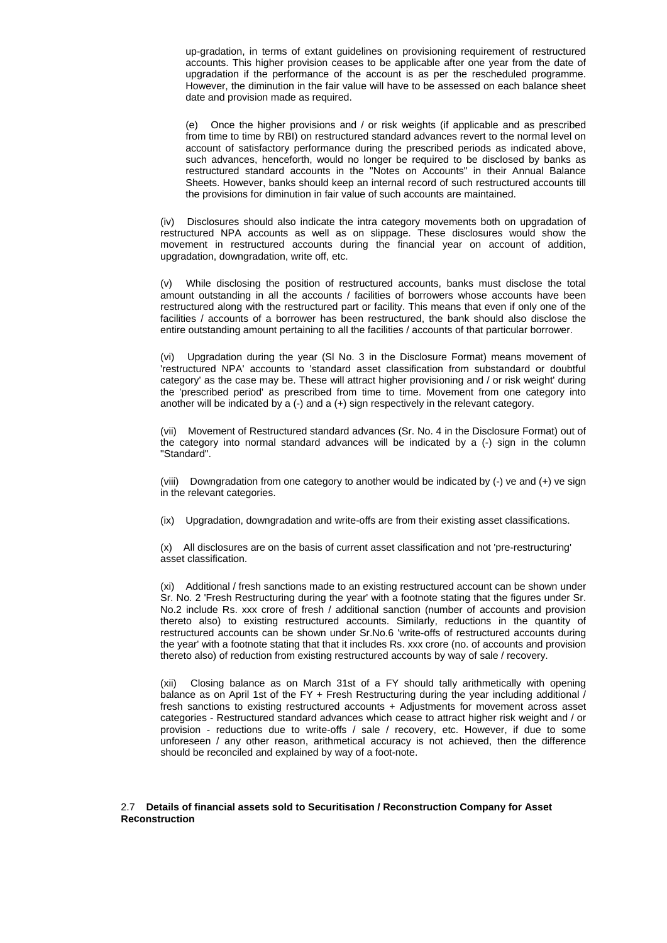up-gradation, in terms of extant guidelines on provisioning requirement of restructured accounts. This higher provision ceases to be applicable after one year from the date of upgradation if the performance of the account is as per the rescheduled programme. However, the diminution in the fair value will have to be assessed on each balance sheet date and provision made as required.

such advances, henceforth, would no longer be required to be disclosed by banks as restructured standard accounts in the "Notes on Accounts" in their Annual Balance (e) Once the higher provisions and / or risk weights (if applicable and as prescribed from time to time by RBI) on restructured standard advances revert to the normal level on account of satisfactory performance during the prescribed periods as indicated above, Sheets. However, banks should keep an internal record of such restructured accounts till the provisions for diminution in fair value of such accounts are maintained.

(iv) Disclosures should also indicate the intra category movements both on upgradation of restructured NPA accounts as well as on slippage. These disclosures would show the movement in restructured accounts during the financial year on account of addition, upgradation, downgradation, write off, etc.

restructured along with the restructured part or facility. This means that even if only one of the (v) While disclosing the position of restructured accounts, banks must disclose the total amount outstanding in all the accounts / facilities of borrowers whose accounts have been facilities / accounts of a borrower has been restructured, the bank should also disclose the entire outstanding amount pertaining to all the facilities / accounts of that particular borrower.

'restructured NPA' accounts to 'standard asset classification from substandard or doubtful category' as the case may be. These will attract higher provisioning and / or risk weight' during (vi) Upgradation during the year (Sl No. 3 in the Disclosure Format) means movement of the 'prescribed period' as prescribed from time to time. Movement from one category into another will be indicated by a (-) and a (+) sign respectively in the relevant category.

(vii) Movement of Restructured standard advances (Sr. No. 4 in the Disclosure Format) out of the category into normal standard advances will be indicated by a (-) sign in the column "Standard".

(viii) Downgradation from one category to another would be indicated by  $(\cdot)$  ve and  $(\cdot)$  ve sign in the relevant categories.

(ix) Upgradation, downgradation and write-offs are from their existing asset classifications.

(x) All disclosures are on the basis of current asset classification and not 'pre-restructuring' asset classification.

thereto also) to existing restructured accounts. Similarly, reductions in the quantity of restructured accounts can be shown under Sr.No.6 'write-offs of restructured accounts during (xi) Additional / fresh sanctions made to an existing restructured account can be shown under Sr. No. 2 'Fresh Restructuring during the year' with a footnote stating that the figures under Sr. No.2 include Rs. xxx crore of fresh / additional sanction (number of accounts and provision the year' with a footnote stating that that it includes Rs. xxx crore (no. of accounts and provision thereto also) of reduction from existing restructured accounts by way of sale / recovery.

categories - Restructured standard advances which cease to attract higher risk weight and / or provision - reductions due to write-offs / sale / recovery, etc. However, if due to some unforeseen / any other reason, arithmetical accuracy is not achieved, then the difference should be reconciled and explained by way of a foot-note. (xii) Closing balance as on March 31st of a FY should tally arithmetically with opening balance as on April 1st of the FY + Fresh Restructuring during the year including additional / fresh sanctions to existing restructured accounts + Adjustments for movement across asset

## 2.7 **Details of financial assets sold to Securitisation / Reconstruction Company for Asset Re onstruction c**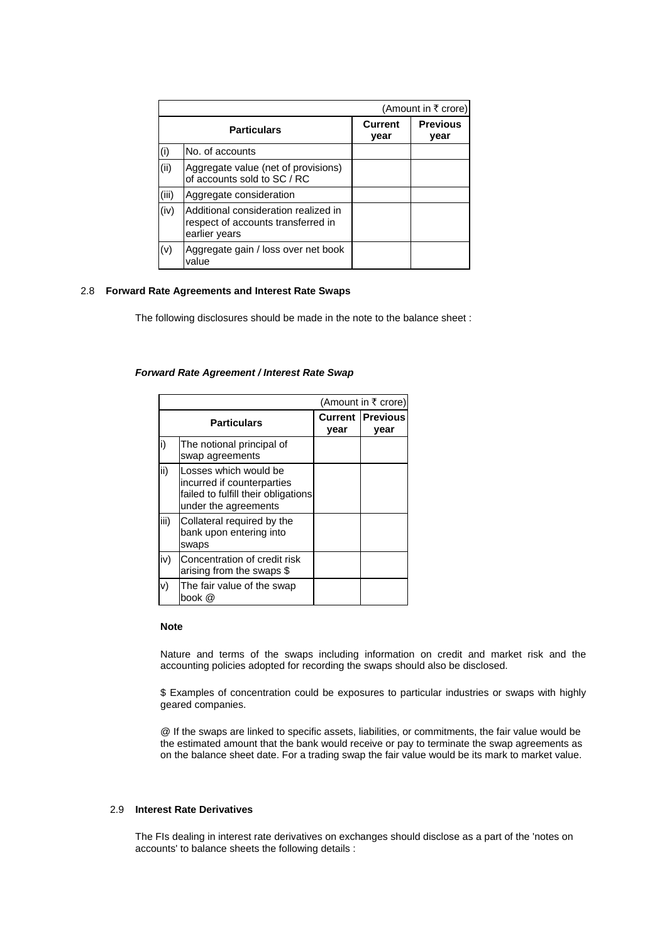|       |                                                                                             |                        | (Amount in ₹ crore)     |
|-------|---------------------------------------------------------------------------------------------|------------------------|-------------------------|
|       | <b>Particulars</b>                                                                          | <b>Current</b><br>year | <b>Previous</b><br>year |
| (i)   | No. of accounts                                                                             |                        |                         |
| (ii)  | Aggregate value (net of provisions)<br>of accounts sold to SC / RC                          |                        |                         |
| (iii) | Aggregate consideration                                                                     |                        |                         |
| (iv)  | Additional consideration realized in<br>respect of accounts transferred in<br>earlier years |                        |                         |
| (v)   | Aggregate gain / loss over net book<br>value                                                |                        |                         |

## 2.8 **Forwa rd Rate Agreements and Interest Rate Swaps**

The following disclosures should be made in the note to the balance sheet :

### *Forward Rate Agreement / Interest Rat e Swap*

|      |                                                                                                                    |      | (Amount in ₹ crore)             |
|------|--------------------------------------------------------------------------------------------------------------------|------|---------------------------------|
|      | <b>Particulars</b>                                                                                                 | year | <b>Current Previous</b><br>year |
| i)   | The notional principal of<br>swap agreements                                                                       |      |                                 |
| ii)  | Losses which would be<br>incurred if counterparties<br>failed to fulfill their obligations<br>under the agreements |      |                                 |
| iii) | Collateral required by the<br>bank upon entering into<br>swaps                                                     |      |                                 |
| iv)  | Concentration of credit risk<br>arising from the swaps \$                                                          |      |                                 |
| v)   | The fair value of the swap<br>book @                                                                               |      |                                 |

## **Note**

Nature and terms of the swaps including information on credit and market risk and the accounting policies adopted for recording the swaps should also be disclosed.

\$ Examples of concentration could be exposures to particular industries or swaps with highly geared companies.

the estimated amount that the bank would receive or pay to terminate the swap agreements as on the balance sheet date. For a trading swap the fair value would be its mark to market value. @ If the swaps are linked to specific assets, liabilities, or commitments, the fair value would be

### 2.9 **Interest Rate Derivatives**

The FIs dealing in interest rate derivatives on exchanges should disclose as a part of the 'notes on accounts' to balance sheets the following details :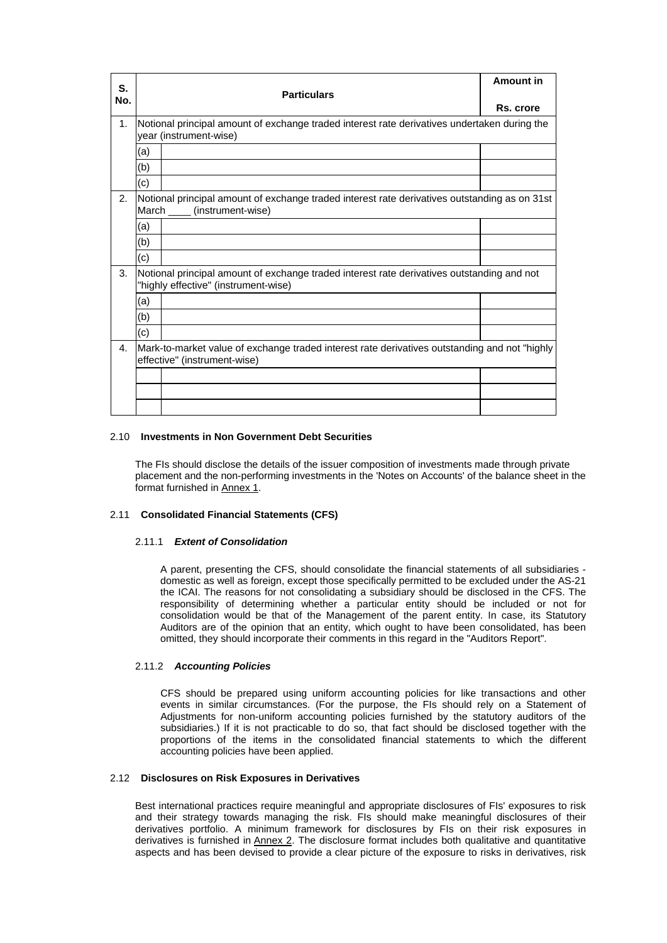| S.  |     |                                                                                                                                    | Amount in |
|-----|-----|------------------------------------------------------------------------------------------------------------------------------------|-----------|
| No. |     | <b>Particulars</b>                                                                                                                 |           |
|     |     |                                                                                                                                    | Rs. crore |
| 1.  |     | Notional principal amount of exchange traded interest rate derivatives undertaken during the<br>year (instrument-wise)             |           |
|     | (a) |                                                                                                                                    |           |
|     | (b) |                                                                                                                                    |           |
|     | (c) |                                                                                                                                    |           |
| 2.  |     | Notional principal amount of exchange traded interest rate derivatives outstanding as on 31st<br>March _____ (instrument-wise)     |           |
|     | (a) |                                                                                                                                    |           |
|     | (b) |                                                                                                                                    |           |
|     | (c) |                                                                                                                                    |           |
| 3.  |     | Notional principal amount of exchange traded interest rate derivatives outstanding and not<br>"highly effective" (instrument-wise) |           |
|     | (a) |                                                                                                                                    |           |
|     | (b) |                                                                                                                                    |           |
|     | (c) |                                                                                                                                    |           |
| 4.  |     | Mark-to-market value of exchange traded interest rate derivatives outstanding and not "highly"<br>effective" (instrument-wise)     |           |
|     |     |                                                                                                                                    |           |
|     |     |                                                                                                                                    |           |
|     |     |                                                                                                                                    |           |

## 2.10 **Investments in Non Government Debt Securities**

The FIs should disclose the details of the issuer composition of investments made through private placement and the non-performing investments in the 'Notes on Accounts' of the balance sheet in the format furnished in Annex 1.

## 2.11 Consolidated Financial Statements (CFS)

## 2.11. 1 *Extent of Consolidation*

consolidation would be that of the Management of the parent entity. In case, its Statutory Auditors are of the opinion that an entity, which ought to have been consolidated, has been omitted, they should incorporate their comments in this regard in the "Auditors Report". A parent, presenting the CFS, should consolidate the financial statements of all subsidiaries domestic as well as foreign, except those specifically permitted to be excluded under the AS-21 the ICAI. The reasons for not consolidating a subsidiary should be disclosed in the CFS. The responsibility of determining whether a particular entity should be included or not for

## 2.11. 2 *Accounting Policies*

subsidiaries.) If it is not practicable to do so, that fact should be disclosed together with the proportions of the items in the consolidated financial statements to which the different CFS should be prepared using uniform accounting policies for like transactions and other events in similar circumstances. (For the purpose, the FIs should rely on a Statement of Adjustments for non-uniform accounting policies furnished by the statutory auditors of the accounting policies have been applied.

## 2.12 **Disclosures on Risk Exposures in Derivatives**

Best international practices require meaningful and appropriate disclosures of FIs' exposures to risk and their strategy towards managing the risk. FIs should make meaningful disclosures of their derivatives portfolio. A minimum framework for disclosures by FIs on their risk exposures in derivatives is furnished in Annex 2. The disclosure format includes both qualitative and quantitative aspects and has been devised to provide a clear picture of the exposure to risks in derivatives, risk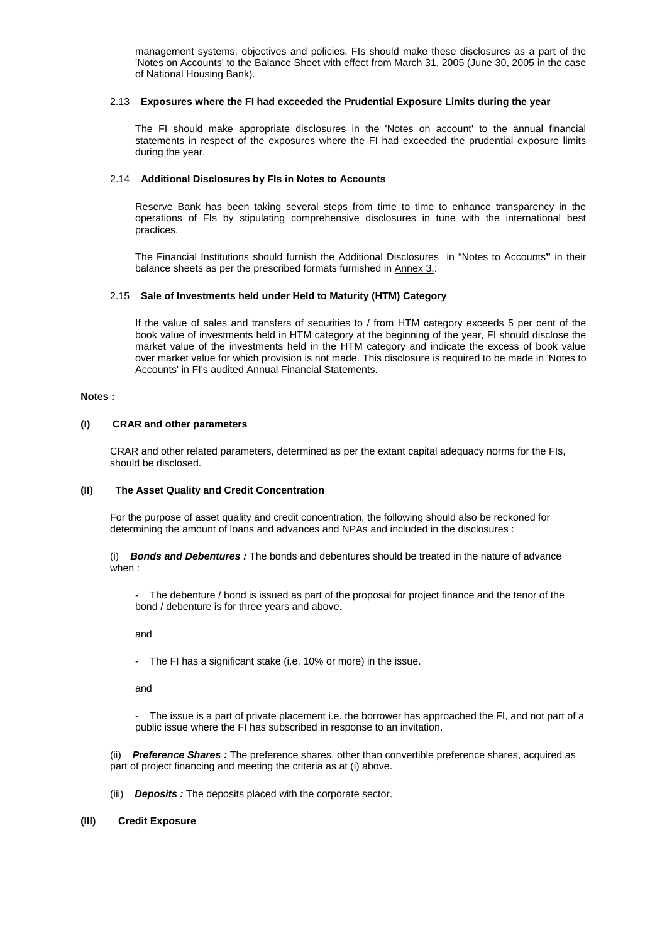management systems, objectives and policies. FIs should make these disclosures as a part of the 'Notes on Accounts' to the Balance Sheet with effect from March 31, 2005 (June 30, 2005 in the case of National Housing Bank).

## 2.13 **Exposures where the FI had exceeded the Prudential Exposure Limits during the year**

statements in respect of the exposures where the FI had exceeded the prudential exposure limits during the year. The FI should make appropriate disclosures in the 'Notes on account' to the annual financial

## 2.14 **Additional Disclosures by FIs in Notes to Accounts**

operations of FIs by stipulating comprehensive disclosures in tune with the international best practices. Reserve Bank has been taking several steps from time to time to enhance transparency in the

The Financial Institutions should furnish the Additional Disclosures in "Notes to Accounts" in their balance sheets as per the prescribed formats furnished in Annex 3.:

## 2.15 **Sale of Investments held under Held to Maturity (HTM) Category**

over market value for which provision is not made. This disclosure is required to be made in 'Notes to Accounts' in FI's audited Annual Financial Statements. If the value of sales and transfers of securities to / from HTM category exceeds 5 per cent of the book value of investments held in HTM category at the beginning of the year, FI should disclose the market value of the investments held in the HTM category and indicate the excess of book value

## **Notes :**

## **(I) CRAR and other parameters**

CRAR and other related parameters, determined as per the extant capital adequacy norms for the FIs, should be disclosed.

## **(II) The Asset Quality and Credit Concentration**

For the purpose of asset quality and credit concentration, the following should also be reckoned for determining the amount of loans and advances and NPAs and included in the disclosures :

 *and Debentures :* The bonds and debentures should be treated in the nature of advance (i) *Bonds* when :

- The debenture / bond is issued as part of the proposal for project finance and the tenor of the bond / debenture is for three years and above.

and

- The FI has a significant stake (i.e. 10% or more) in the issue.

and

- The issue is a part of private placement i.e. the borrower has approached the FI, and not part of a public issue where the FI has subscribed in response to an invitation.

(ii) *Preference Shares:* The preference shares, other than convertible preference shares, acquired as part of project financing and meeting the criteria as at (i) above.

(iii) *Deposits :* The deposits placed with the corporate sector.

## **(III) Credit Exposure**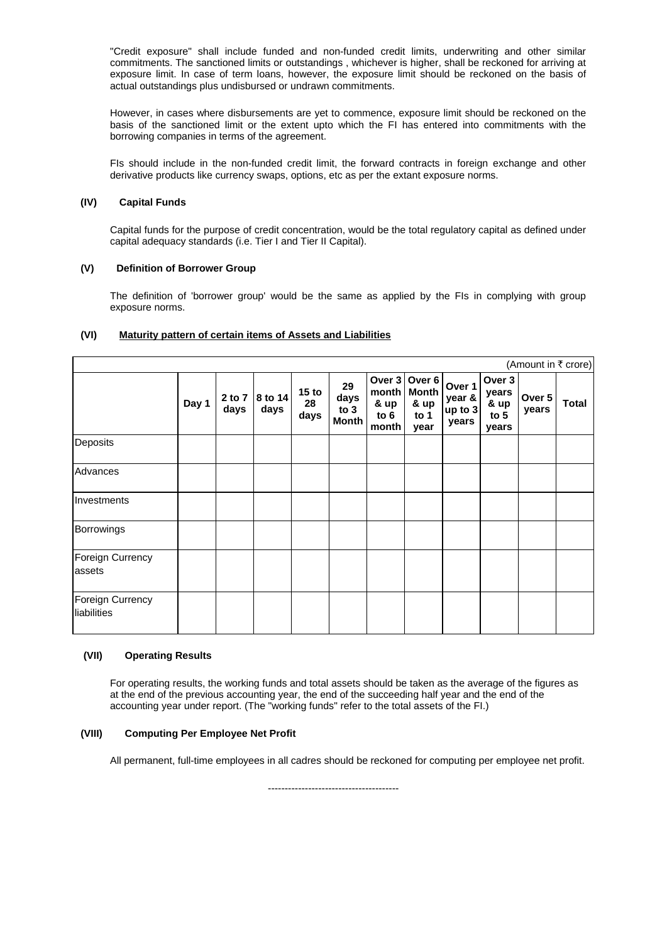"Credit exposure" shall include funded and non-funded credit limits, underwriting and other similar commitments. The sanctioned limits or outstandings , whichever is higher, shall be reckoned for arriving at exposure limit. In case of term loans, however, the exposure limit should be reckoned on the basis of actual outstandings plus undisbursed or undrawn commitments.

However, in cases where disbursements are yet to commence, exposure limit should be reckoned on the basis of the sanctioned limit or the extent upto which the FI has entered into commitments with the borrowing companies in terms of the agreement.

FIs should include in the non-funded credit limit, the forward contracts in foreign exchange and other derivative products like currency swaps, options, etc as per the extant exposure norms.

#### **(IV) Capital Funds**

Capital funds for the purpose of credit concentration, would be the total regulatory capital as defined under capital adequacy standards (i.e. Tier I and Tier II Capital).

#### **(V) Definition of Borrower Group**

The definition of 'borrower group' would be the same as applied by the FIs in complying with group exposure norms.

# **(VI) Maturity pattern of certain items of Assets and Liabilities**

|                                 |       |                |                 |                                |                                    |                                            |                                                |                                      |                                            |                 | (Amount in ₹ crore) |
|---------------------------------|-------|----------------|-----------------|--------------------------------|------------------------------------|--------------------------------------------|------------------------------------------------|--------------------------------------|--------------------------------------------|-----------------|---------------------|
|                                 | Day 1 | 2 to 7<br>days | 8 to 14<br>days | 15 <sub>to</sub><br>28<br>days | 29<br>days<br>to 3<br><b>Month</b> | Over 3<br>month<br>& up<br>to $6$<br>month | Over 6<br><b>Month</b><br>& up<br>to 1<br>year | Over 1<br>year &<br>up to 3<br>years | Over 3<br>years<br>& up<br>to $5$<br>years | Over 5<br>years | Total               |
| Deposits                        |       |                |                 |                                |                                    |                                            |                                                |                                      |                                            |                 |                     |
| Advances                        |       |                |                 |                                |                                    |                                            |                                                |                                      |                                            |                 |                     |
| Investments                     |       |                |                 |                                |                                    |                                            |                                                |                                      |                                            |                 |                     |
| Borrowings                      |       |                |                 |                                |                                    |                                            |                                                |                                      |                                            |                 |                     |
| Foreign Currency<br>assets      |       |                |                 |                                |                                    |                                            |                                                |                                      |                                            |                 |                     |
| Foreign Currency<br>liabilities |       |                |                 |                                |                                    |                                            |                                                |                                      |                                            |                 |                     |

#### **(VII) Operating Results**

For operating results, the working funds and total assets should be taken as the average of the figures as at the end of the previous accounting year, the end of the succeeding half year and the end of the accounting year under report. (The "working funds" refer to the total assets of the FI.)

#### **(VIII) Computing Per Employee Net Profit**

All permanent, full-time employees in all cadres should be reckoned for computing per employee net profit.

------------------- --------------------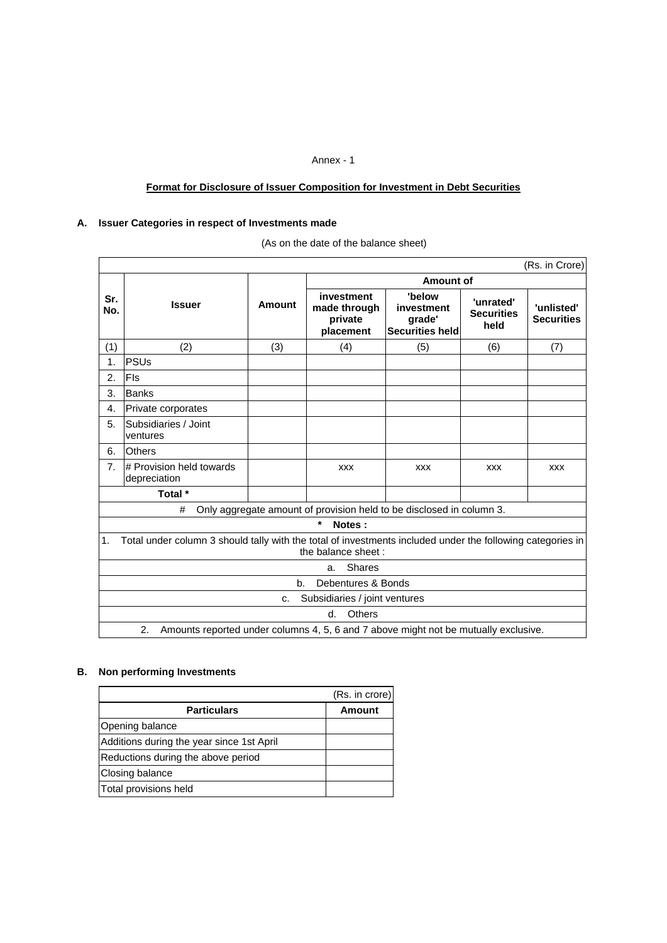# Annex - 1

# **Format for Disclosure of Issuer Composition for Investment in Debt Securities**

## **A. Issuer Categories in respect of Inv estments made**

|  | (As on the date of the balance sheet) |  |  |  |
|--|---------------------------------------|--|--|--|
|--|---------------------------------------|--|--|--|

|                |                                                                                                                                  |        |                                                                      |                                                          |                                        | (Rs. in Crore)                  |  |  |  |  |  |
|----------------|----------------------------------------------------------------------------------------------------------------------------------|--------|----------------------------------------------------------------------|----------------------------------------------------------|----------------------------------------|---------------------------------|--|--|--|--|--|
|                |                                                                                                                                  |        |                                                                      | Amount of                                                |                                        |                                 |  |  |  |  |  |
| Sr.<br>No.     | <b>Issuer</b>                                                                                                                    | Amount | investment<br>made through<br>private<br>placement                   | 'below<br>investment<br>grade'<br><b>Securities held</b> | 'unrated'<br><b>Securities</b><br>held | 'unlisted'<br><b>Securities</b> |  |  |  |  |  |
| (1)            | (2)                                                                                                                              | (3)    | (4)                                                                  | (5)                                                      | (6)                                    | (7)                             |  |  |  |  |  |
| 1.             | <b>PSUs</b>                                                                                                                      |        |                                                                      |                                                          |                                        |                                 |  |  |  |  |  |
| 2.             | <b>FIs</b>                                                                                                                       |        |                                                                      |                                                          |                                        |                                 |  |  |  |  |  |
| 3.             | Banks                                                                                                                            |        |                                                                      |                                                          |                                        |                                 |  |  |  |  |  |
| 4.             | Private corporates                                                                                                               |        |                                                                      |                                                          |                                        |                                 |  |  |  |  |  |
| 5.             | Subsidiaries / Joint<br>ventures                                                                                                 |        |                                                                      |                                                          |                                        |                                 |  |  |  |  |  |
| 6.             | <b>Others</b>                                                                                                                    |        |                                                                      |                                                          |                                        |                                 |  |  |  |  |  |
| 7 <sub>1</sub> | # Provision held towards<br>depreciation                                                                                         |        | <b>XXX</b>                                                           | <b>XXX</b>                                               | <b>XXX</b>                             | <b>XXX</b>                      |  |  |  |  |  |
|                | Total *                                                                                                                          |        |                                                                      |                                                          |                                        |                                 |  |  |  |  |  |
|                | #                                                                                                                                |        | Only aggregate amount of provision held to be disclosed in column 3. |                                                          |                                        |                                 |  |  |  |  |  |
|                |                                                                                                                                  |        | $\star$<br>Notes:                                                    |                                                          |                                        |                                 |  |  |  |  |  |
| 1.             | Total under column 3 should tally with the total of investments included under the following categories in<br>the balance sheet: |        |                                                                      |                                                          |                                        |                                 |  |  |  |  |  |
|                | <b>Shares</b><br>a.                                                                                                              |        |                                                                      |                                                          |                                        |                                 |  |  |  |  |  |
|                | Debentures & Bonds<br>b.                                                                                                         |        |                                                                      |                                                          |                                        |                                 |  |  |  |  |  |
|                | Subsidiaries / joint ventures<br>c.                                                                                              |        |                                                                      |                                                          |                                        |                                 |  |  |  |  |  |
|                | Others<br>d.                                                                                                                     |        |                                                                      |                                                          |                                        |                                 |  |  |  |  |  |
|                | 2.<br>Amounts reported under columns 4, 5, 6 and 7 above might not be mutually exclusive.                                        |        |                                                                      |                                                          |                                        |                                 |  |  |  |  |  |

# **B. Non performing Investments**

|                                           | (Rs. in crore) |
|-------------------------------------------|----------------|
| <b>Particulars</b>                        | <b>Amount</b>  |
| Opening balance                           |                |
| Additions during the year since 1st April |                |
| Reductions during the above period        |                |
| Closing balance                           |                |
| Total provisions held                     |                |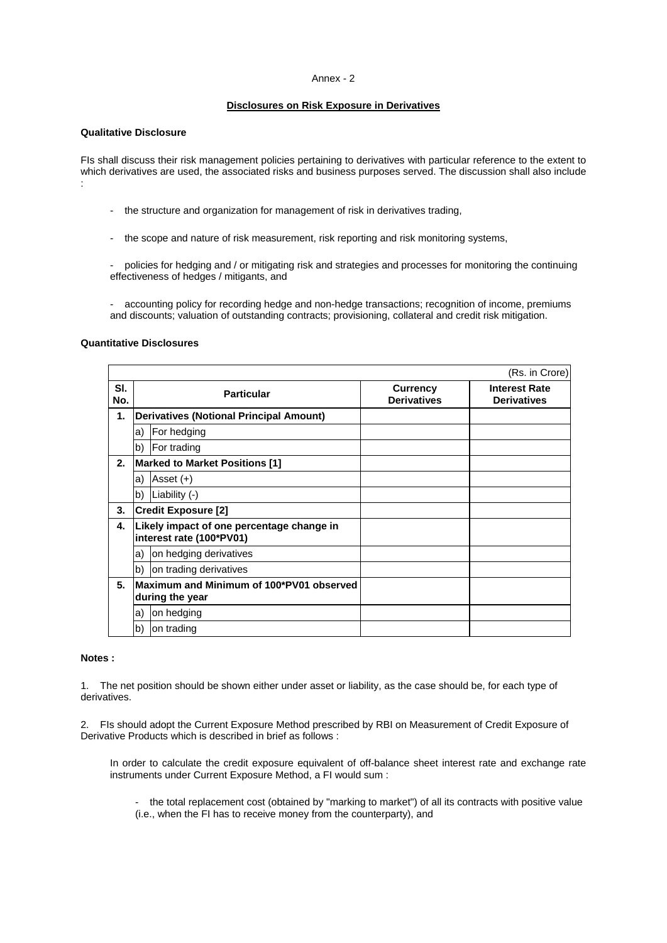## Annex - 2

# **Disclosures on Risk Exposure in Derivatives**

# **Qualitative Disclosure**

FIs shall discuss their risk management policies pertaining to derivatives with particular reference to the extent to which derivatives are used, the associated risks and business purposes served. The discussion shall also include :

- the structure and organization for management of risk in derivatives trading,
- the scope and nature of risk measurement, risk reporting and risk monitoring systems,

- policies for hedging and / or mitigating risk and strategies and processes for monitoring the continuing effectiveness of hedges / mitigants, and

- accounting policy for recording hedge and non-hedge transactions; recognition of income, premiums and discounts; valuation of outstanding contracts; provisioning, collateral and credit risk mitigation.

## **Quantitative Disclosures**

|            |              |                                                                       |                                       | (Rs. in Crore)                             |
|------------|--------------|-----------------------------------------------------------------------|---------------------------------------|--------------------------------------------|
| SI.<br>No. |              | <b>Particular</b>                                                     | <b>Currency</b><br><b>Derivatives</b> | <b>Interest Rate</b><br><b>Derivatives</b> |
| 1.         |              | Derivatives (Notional Principal Amount)                               |                                       |                                            |
|            | a)           | For hedging                                                           |                                       |                                            |
|            | b)           | For trading                                                           |                                       |                                            |
| 2.         |              | <b>Marked to Market Positions [1]</b>                                 |                                       |                                            |
|            | a)           | Asset $(+)$                                                           |                                       |                                            |
|            | $\mathsf{b}$ | Liability (-)                                                         |                                       |                                            |
| 3.         |              | <b>Credit Exposure [2]</b>                                            |                                       |                                            |
| 4.         |              | Likely impact of one percentage change in<br>interest rate (100*PV01) |                                       |                                            |
|            | a)           | on hedging derivatives                                                |                                       |                                            |
|            | b)           | on trading derivatives                                                |                                       |                                            |
| 5.         |              | Maximum and Minimum of 100*PV01 observed<br>during the year           |                                       |                                            |
|            | la)          | on hedging                                                            |                                       |                                            |
|            | $\mathsf{b}$ | on trading                                                            |                                       |                                            |

# **Notes :**

1. The net position should be shown either under asset or liability, as the case should be, for each type of derivatives.

2. FIs should adopt the Current Exposure Method prescribed by RBI on Measurement of Credit Exposure of Deriva tive Products which is described in brief as follows :

In order to calculate the credit exposure equivalent of off-balance sheet interest rate and exchange rate instru ments under Current Exposure Method, a FI would sum :

- the total replacement cost (obtained by "marking to market") of all its contracts with positive value (i.e., when the FI has to receive money from the counterparty), and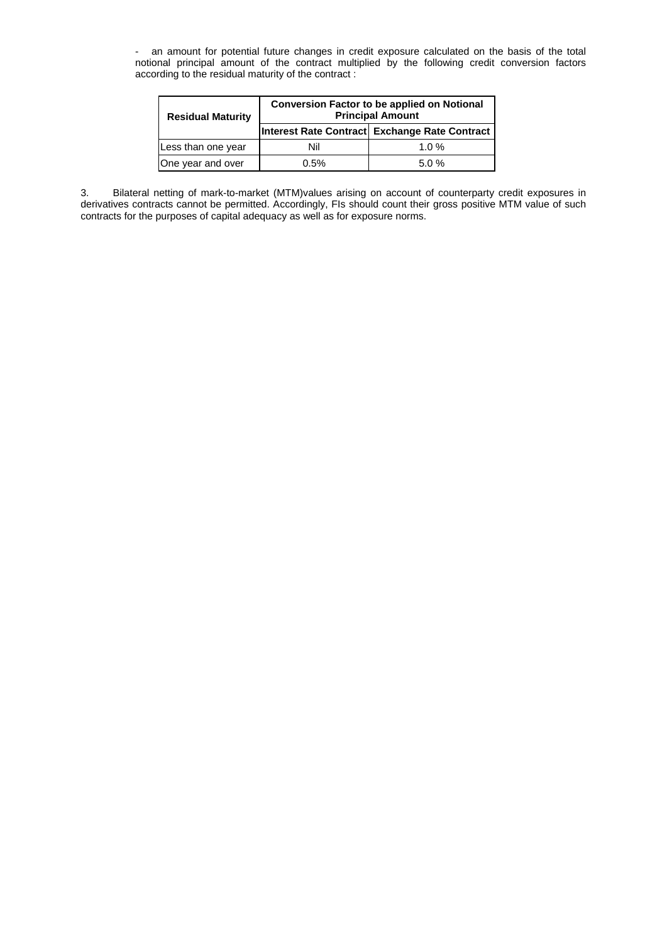- an amount for potential future changes in credit exposure calculated on the basis of the total notional principal amount of the contract multiplied by the following credit conversion factors according to the residual maturity of the contract: ture changes in credit exposure calculated on I principal amount of the contract multiplied by the following credit c

| <b>Residual Maturity</b> | <b>Conversion Factor to be applied on Notional</b><br><b>Principal Amount</b> |                                               |  |  |  |  |  |
|--------------------------|-------------------------------------------------------------------------------|-----------------------------------------------|--|--|--|--|--|
|                          |                                                                               | Interest Rate Contract Exchange Rate Contract |  |  |  |  |  |
| Less than one year       | Nil                                                                           | 1.0 $%$                                       |  |  |  |  |  |
| One year and over        | 0.5%                                                                          | 5.0%                                          |  |  |  |  |  |

3. Bilateral netting of mark-to-market (MTM)values arising on account of counterparty credit exposures in derivatives contracts cannot be permitted. Accordingly, FIs should count their gross positive MTM value of such contracts for the purposes of capital adequacy as well as for exposure norms.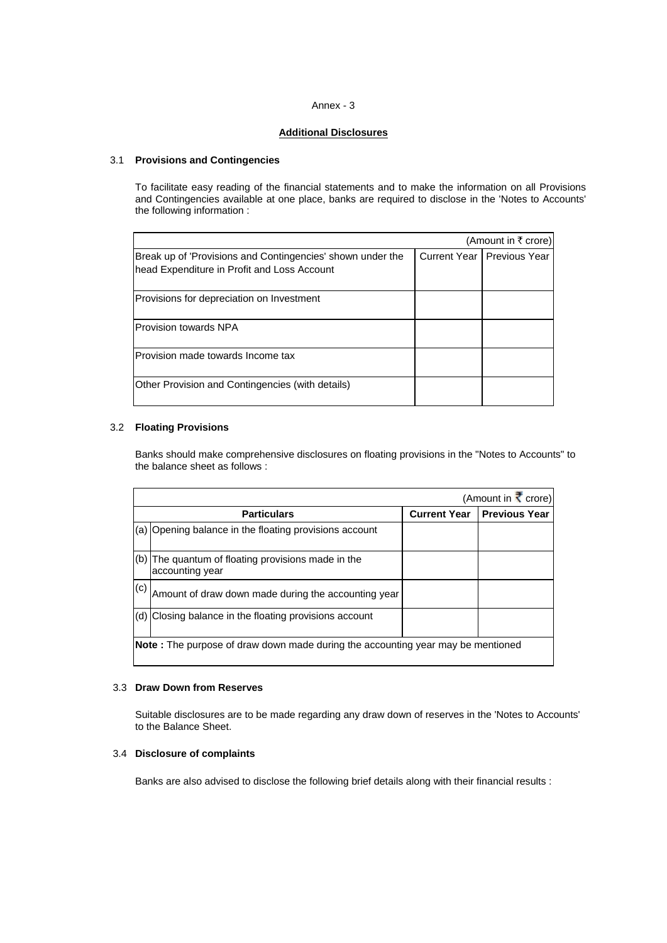## Annex - 3

# **Additional Disclosures**

## 3.1 **Provisions and Contingencies**

To facilitate easy reading of the financial statements and to make the information on all Provisions and Contingencies available at one place, banks are required to disclose in the 'Notes to Accounts' the following information :

|                                                                                                           | (Amount in ₹ crore)          |
|-----------------------------------------------------------------------------------------------------------|------------------------------|
| Break up of 'Provisions and Contingencies' shown under the<br>head Expenditure in Profit and Loss Account | Current Year   Previous Year |
| Provisions for depreciation on Investment                                                                 |                              |
| Provision towards NPA                                                                                     |                              |
| Provision made towards Income tax                                                                         |                              |
| Other Provision and Contingencies (with details)                                                          |                              |

# 3.2 **Floating Provisions**

Banks should make comprehensive disclosures on floating provisions in the "Notes to Accounts" to the balance sheet as follows :

|     |                                                                                         |                     | (Amount in $\vec{\xi}$ crore) |
|-----|-----------------------------------------------------------------------------------------|---------------------|-------------------------------|
|     | <b>Particulars</b>                                                                      | <b>Current Year</b> | <b>Previous Year</b>          |
| (a) | Opening balance in the floating provisions account                                      |                     |                               |
| (b) | The quantum of floating provisions made in the<br>accounting year                       |                     |                               |
| (c) | Amount of draw down made during the accounting year                                     |                     |                               |
| (d) | Closing balance in the floating provisions account                                      |                     |                               |
|     | <b>Note</b> : The purpose of draw down made during the accounting year may be mentioned |                     |                               |

## 3.3 **Draw Down from Reserves**

Suitable disclosures are to be made regarding any draw down of reserves in the 'Notes to Accounts' to the Balance Sheet.

## 3.4 **isclosure of complaints D**

Banks are also advised to disclose the following brief details along with their financial results :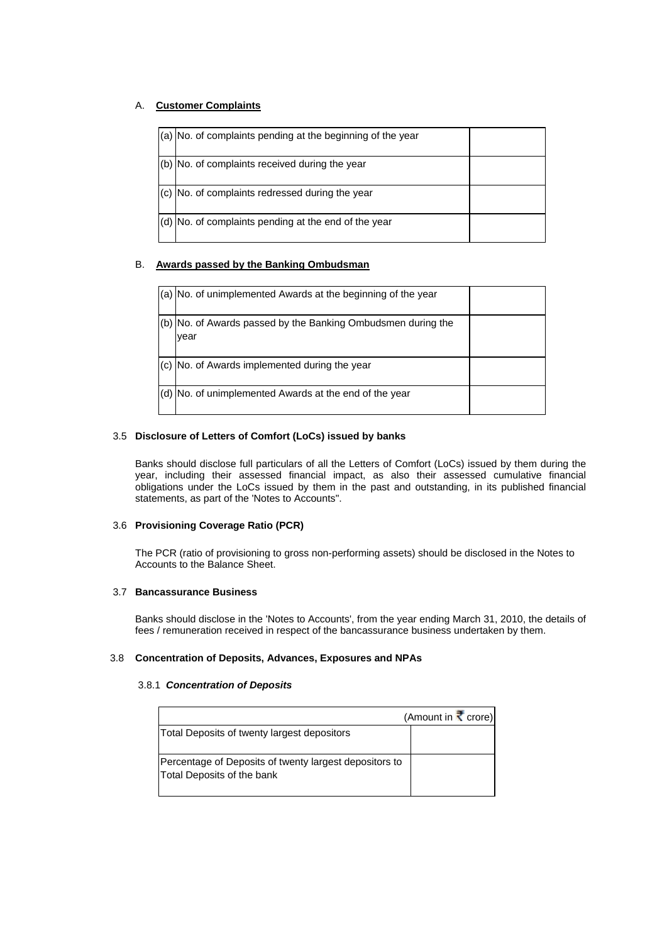# A. **Customer Complaints**

| $(a)$ No. of complaints pending at the beginning of the year |  |
|--------------------------------------------------------------|--|
| (b) No. of complaints received during the year               |  |
| (c) No. of complaints redressed during the year              |  |
| (d) No. of complaints pending at the end of the year         |  |

# B. **Awards passed by the Banking Ombudsman**

| (a) No. of unimplemented Awards at the beginning of the year         |  |
|----------------------------------------------------------------------|--|
| (b) No. of Awards passed by the Banking Ombudsmen during the<br>year |  |
| (c) No. of Awards implemented during the year                        |  |
| (d) No. of unimplemented Awards at the end of the year               |  |

# 3.5 **Disclosure of Letters of Comfort (LoCs) issued by banks**

Banks should disclose full particulars of all the Letters of Comfort (LoCs) issued by them during the year, including their assessed financial impact, as also their assessed cumulative financial obligations under the LoCs issued by them in the past and outstanding, in its published financial statements, as part of the 'Notes to Accounts".

# 3.6 **Provisioning Coverage Ratio (PCR)**

The PCR (ratio of provisioning to gross non-performing assets) should be disclosed in the Notes to Accounts to the Balance Sheet.

# 3.7 **Bancassurance Business**

Banks should disclose in the 'Notes to Accounts', from the year ending March 31, 2010, the details of fees / remuneration received in respect of the bancassurance business undertaken by them.

## 3.8 **Concentration of Deposits, Advances, Exposures and N PAs**

## 3.8.1 *Concentration of Deposits*

|                                                                                      | (Amount in $\vec{\xi}$ crore) |
|--------------------------------------------------------------------------------------|-------------------------------|
| Total Deposits of twenty largest depositors                                          |                               |
| Percentage of Deposits of twenty largest depositors to<br>Total Deposits of the bank |                               |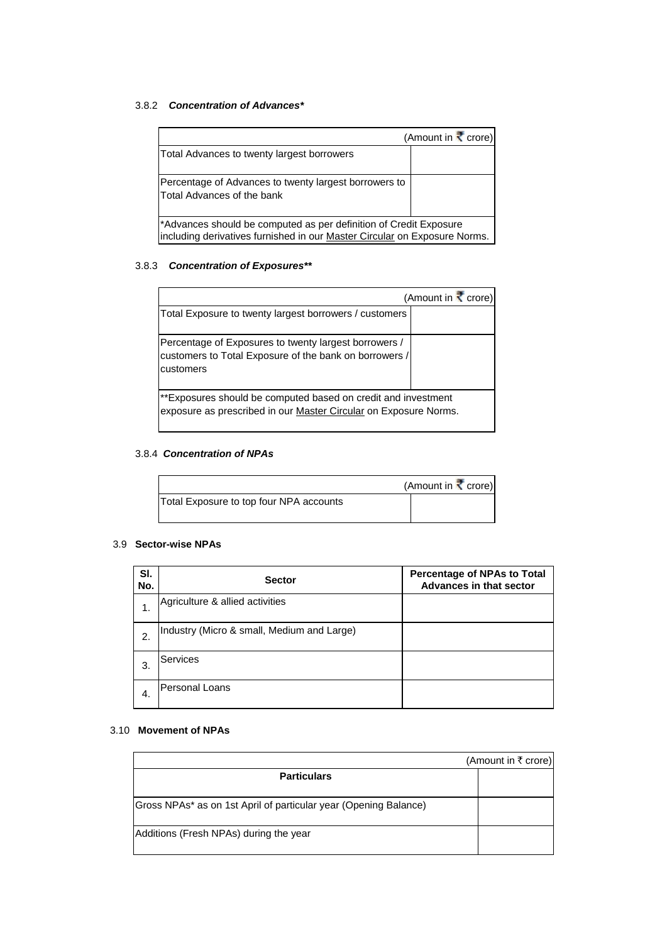# 3.8.2 *Concentration of Advances\**

|                                                                                                                                                | (Amount in $\vec{\mathbf{\cdot}}$ crore) |
|------------------------------------------------------------------------------------------------------------------------------------------------|------------------------------------------|
| Total Advances to twenty largest borrowers                                                                                                     |                                          |
| Percentage of Advances to twenty largest borrowers to<br>Total Advances of the bank                                                            |                                          |
| *Advances should be computed as per definition of Credit Exposure<br>including derivatives furnished in our Master Circular on Exposure Norms. |                                          |

## 3.8.3 *Concentration of Exposures\*\**

|                                                                                                                                   | (Amount in $\vec{\xi}$ crore) |
|-----------------------------------------------------------------------------------------------------------------------------------|-------------------------------|
| Total Exposure to twenty largest borrowers / customers                                                                            |                               |
| Percentage of Exposures to twenty largest borrowers /<br>customers to Total Exposure of the bank on borrowers /<br>customers      |                               |
| **Exposures should be computed based on credit and investment<br>exposure as prescribed in our Master Circular on Exposure Norms. |                               |

# 3.8.4 *Concentration of NPAs*

|                                         | (Amount in $\vec{\bm{\cdot}}$ crore) |
|-----------------------------------------|--------------------------------------|
| Total Exposure to top four NPA accounts |                                      |
|                                         |                                      |

## 3.9 **Sector-wise NPAs**

| SI.<br>No. | <b>Sector</b>                              | <b>Percentage of NPAs to Total</b><br><b>Advances in that sector</b> |
|------------|--------------------------------------------|----------------------------------------------------------------------|
| 1.         | Agriculture & allied activities            |                                                                      |
| 2.         | Industry (Micro & small, Medium and Large) |                                                                      |
| 3.         | <b>Services</b>                            |                                                                      |
| -4.        | Personal Loans                             |                                                                      |

# 3.10 **Movement of NPAs**

|                                                                  | (Amount in ₹ crore) |
|------------------------------------------------------------------|---------------------|
| <b>Particulars</b>                                               |                     |
|                                                                  |                     |
| Gross NPAs* as on 1st April of particular year (Opening Balance) |                     |
| Additions (Fresh NPAs) during the year                           |                     |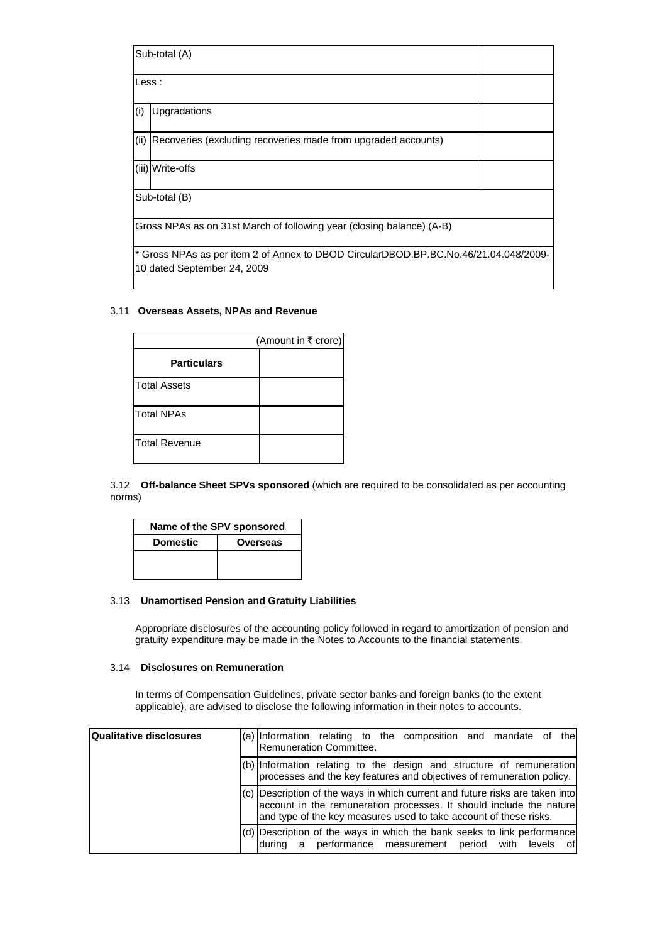|                                                                                                                     | Sub-total (A)                                                         |  |
|---------------------------------------------------------------------------------------------------------------------|-----------------------------------------------------------------------|--|
|                                                                                                                     | Less:                                                                 |  |
| (i)                                                                                                                 | <b>Upgradations</b>                                                   |  |
|                                                                                                                     | (ii) Recoveries (excluding recoveries made from upgraded accounts)    |  |
|                                                                                                                     | (iii) Write-offs                                                      |  |
| Sub-total (B)                                                                                                       |                                                                       |  |
|                                                                                                                     | Gross NPAs as on 31st March of following year (closing balance) (A-B) |  |
| * Gross NPAs as per item 2 of Annex to DBOD CircularDBOD.BP.BC.No.46/21.04.048/2009-<br>10 dated September 24, 2009 |                                                                       |  |

# 3.11 Overseas Assets, NPAs and Revenue

|                      | (Amount in ₹ crore) |
|----------------------|---------------------|
| <b>Particulars</b>   |                     |
| <b>Total Assets</b>  |                     |
| Total NPAs           |                     |
| <b>Total Revenue</b> |                     |

3.12 **Off-balance Sheet SPVs sponsored** (which are required to be consolidated as per accounting norms)

| Name of the SPV sponsored |          |  |
|---------------------------|----------|--|
| <b>Domestic</b>           | Overseas |  |
|                           |          |  |
|                           |          |  |

# 3.13 **Unamortised Pension and Gratuity Liabilities**

Appropriate disclosures of the accounting policy followed in regard to amortization of pension and gratuity expenditure may be made in the Notes to Accounts to the financial statements.

# 3.14 **Disclosures on Remuneration**

In terms of Compensation Guidelines, private sector banks and foreign banks (to the extent applicable), are advised to disclose the following information in their notes to accounts.

| <b>Qualitative disclosures</b> | (a) Information relating to the composition and mandate of the<br><b>Remuneration Committee.</b>                                                                                                                           |
|--------------------------------|----------------------------------------------------------------------------------------------------------------------------------------------------------------------------------------------------------------------------|
|                                | $(6)$ Information relating to the design and structure of remuneration<br>processes and the key features and objectives of remuneration policy.                                                                            |
|                                | $(c)$ Description of the ways in which current and future risks are taken into<br>account in the remuneration processes. It should include the nature<br>and type of the key measures used to take account of these risks. |
|                                | (d) Description of the ways in which the bank seeks to link performance<br>a performance measurement period with levels<br>ldurina<br>ofl                                                                                  |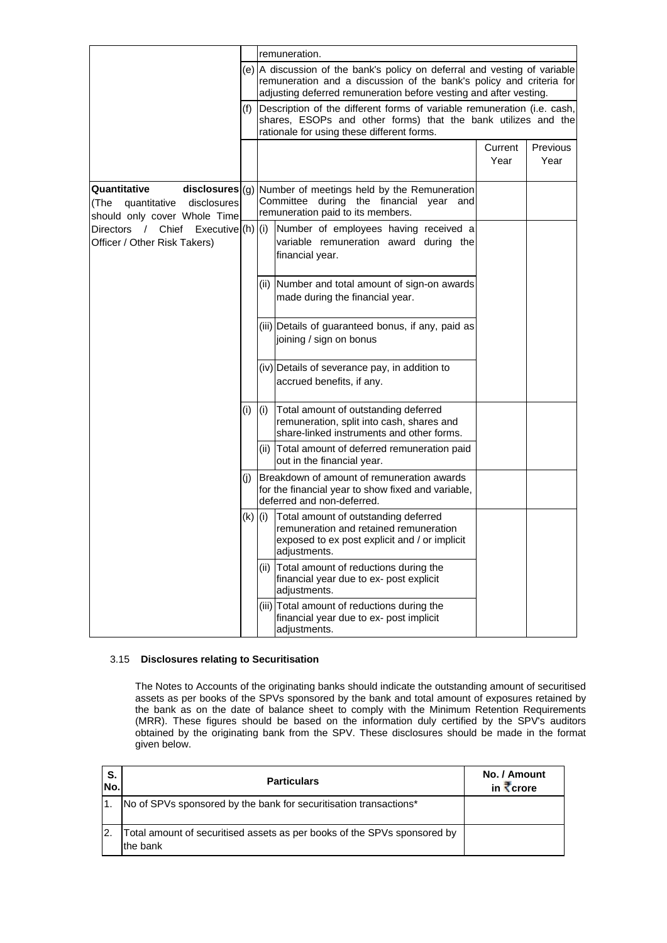|                                                                                  |             | remuneration. |                                                                                                                                                                                                                       |                 |                         |
|----------------------------------------------------------------------------------|-------------|---------------|-----------------------------------------------------------------------------------------------------------------------------------------------------------------------------------------------------------------------|-----------------|-------------------------|
|                                                                                  |             |               | (e) A discussion of the bank's policy on deferral and vesting of variable<br>remuneration and a discussion of the bank's policy and criteria for<br>adjusting deferred remuneration before vesting and after vesting. |                 |                         |
|                                                                                  | (f)         |               | Description of the different forms of variable remuneration (i.e. cash,<br>shares, ESOPs and other forms) that the bank utilizes and the<br>rationale for using these different forms.                                |                 |                         |
|                                                                                  |             |               |                                                                                                                                                                                                                       | Current<br>Year | <b>Previous</b><br>Year |
| Quantitative<br>(The quantitative<br>disclosures<br>should only cover Whole Time |             |               | $disclosures$ (g) Number of meetings held by the Remuneration<br>Committee during the financial year and<br>remuneration paid to its members.                                                                         |                 |                         |
| Directors / Chief<br>Execute (h) (i) <br>Officer / Other Risk Takers)            |             |               | Number of employees having received a<br>variable remuneration award during the<br>financial year.                                                                                                                    |                 |                         |
|                                                                                  |             |               | (ii) Number and total amount of sign-on awards<br>made during the financial year.                                                                                                                                     |                 |                         |
|                                                                                  |             |               | (iii) Details of guaranteed bonus, if any, paid as<br>joining / sign on bonus                                                                                                                                         |                 |                         |
|                                                                                  |             |               | (iv) Details of severance pay, in addition to<br>accrued benefits, if any.                                                                                                                                            |                 |                         |
|                                                                                  |             | (i)           | Total amount of outstanding deferred<br>remuneration, split into cash, shares and<br>share-linked instruments and other forms.                                                                                        |                 |                         |
|                                                                                  |             |               | (ii) Total amount of deferred remuneration paid<br>out in the financial year.                                                                                                                                         |                 |                         |
|                                                                                  |             |               | Breakdown of amount of remuneration awards<br>for the financial year to show fixed and variable,<br>deferred and non-deferred.                                                                                        |                 |                         |
|                                                                                  | $(k)$ $(i)$ |               | Total amount of outstanding deferred<br>remuneration and retained remuneration<br>exposed to ex post explicit and / or implicit<br>adjustments.                                                                       |                 |                         |
|                                                                                  |             |               | (ii) Total amount of reductions during the<br>financial year due to ex- post explicit<br>adjustments.                                                                                                                 |                 |                         |
|                                                                                  |             |               | (iii) Total amount of reductions during the<br>financial year due to ex- post implicit<br>adjustments.                                                                                                                |                 |                         |

# 3.15 **Disclosures relating to Securitisation**

assets as per books of the SPVs sponsored by the bank and total amount of exposures retained by the bank as on the date of balance sheet to comply with the Minimum Retention Requirements (MRR). These figures should be based on the information duly certified by the SPV's auditors obtained by the originating bank from the SPV. These disclosures should be made in the format The Notes to Accounts of the originating banks should indicate the outstanding amount of securitised given below.

| S.<br>No. | <b>Particulars</b>                                                                   | No. / Amount<br>in $\overline{\mathbf{x}}$ crore |
|-----------|--------------------------------------------------------------------------------------|--------------------------------------------------|
|           | No of SPVs sponsored by the bank for securitisation transactions*                    |                                                  |
|           | Total amount of securitised assets as per books of the SPVs sponsored by<br>the bank |                                                  |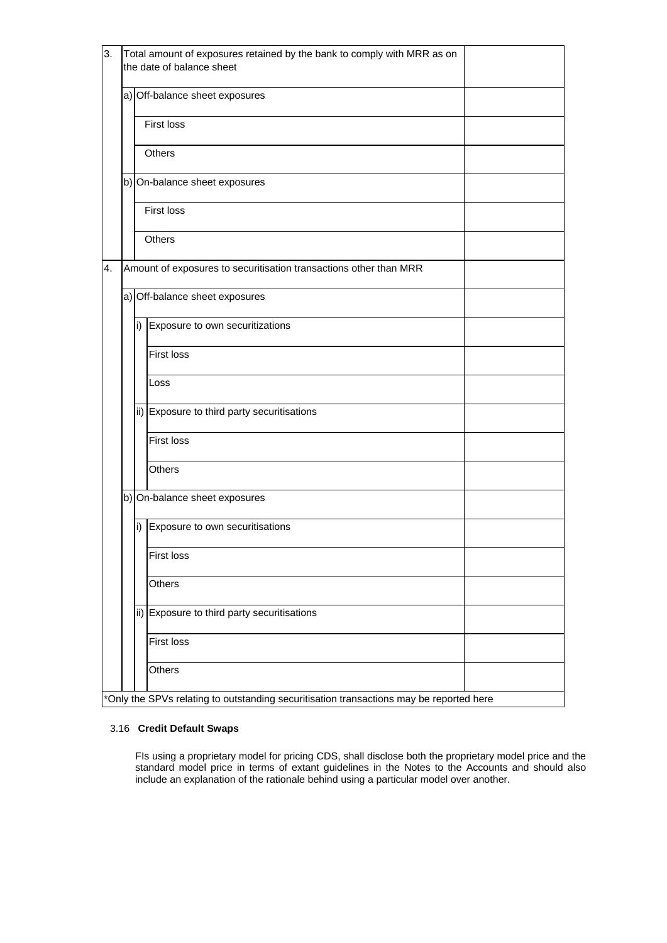| 3. |                 | Total amount of exposures retained by the bank to comply with MRR as on<br>the date of balance sheet |  |  |  |  |  |
|----|-----------------|------------------------------------------------------------------------------------------------------|--|--|--|--|--|
|    |                 | a) Off-balance sheet exposures                                                                       |  |  |  |  |  |
|    |                 | First loss                                                                                           |  |  |  |  |  |
|    |                 | Others                                                                                               |  |  |  |  |  |
|    |                 | b) On-balance sheet exposures                                                                        |  |  |  |  |  |
|    |                 | First loss                                                                                           |  |  |  |  |  |
|    |                 | Others                                                                                               |  |  |  |  |  |
| 4. |                 | Amount of exposures to securitisation transactions other than MRR                                    |  |  |  |  |  |
|    |                 | a) Off-balance sheet exposures                                                                       |  |  |  |  |  |
|    | i)              | Exposure to own securitizations                                                                      |  |  |  |  |  |
|    |                 | <b>First loss</b>                                                                                    |  |  |  |  |  |
|    |                 | Loss                                                                                                 |  |  |  |  |  |
|    |                 | ii) Exposure to third party securitisations                                                          |  |  |  |  |  |
|    |                 | <b>First loss</b>                                                                                    |  |  |  |  |  |
|    |                 | Others                                                                                               |  |  |  |  |  |
|    |                 | b) On-balance sheet exposures                                                                        |  |  |  |  |  |
|    | i)              | Exposure to own securitisations                                                                      |  |  |  |  |  |
|    |                 | First loss                                                                                           |  |  |  |  |  |
|    |                 | Others                                                                                               |  |  |  |  |  |
|    | $\mathsf{ii}$ ) | Exposure to third party securitisations                                                              |  |  |  |  |  |
|    |                 | <b>First loss</b>                                                                                    |  |  |  |  |  |
|    |                 | Others                                                                                               |  |  |  |  |  |
|    |                 | *Only the SPVs relating to outstanding securitisation transactions may be reported here              |  |  |  |  |  |

## 3.16 **Credit Default Swaps**

FIs using a proprietary model for pricing CDS, shall disclose both the proprietary model price and the standard model price in terms of extant guidelines in the Notes to the Accounts and should also include an explanation of the rationale behind using a particular model over another. uid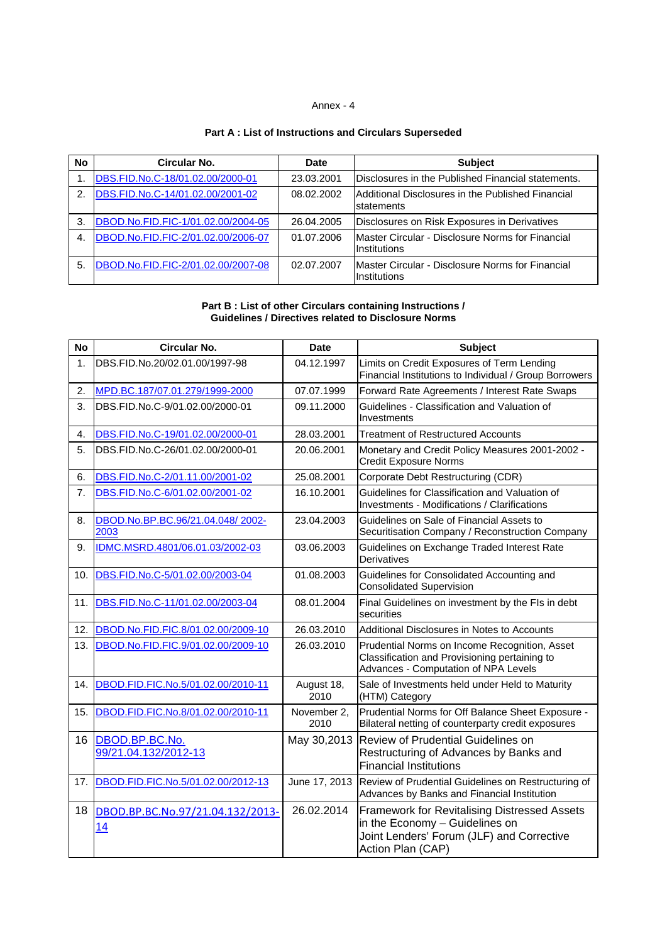# Annex - 4

# **Part A : List of Instructions and Circulars Superseded**

| <b>No</b> | Circular No.                       | <b>Date</b> | <b>Subject</b>                                                                  |
|-----------|------------------------------------|-------------|---------------------------------------------------------------------------------|
|           | DBS.FID.No.C-18/01.02.00/2000-01   | 23.03.2001  | Disclosures in the Published Financial statements.                              |
| 2.        | DBS.FID.No.C-14/01.02.00/2001-02   | 08.02.2002  | Additional Disclosures in the Published Financial<br>statements                 |
| 3.        | DBOD.No.FID.FIC-1/01.02.00/2004-05 | 26.04.2005  | Disclosures on Risk Exposures in Derivatives                                    |
| 4.        | DBOD.No.FID.FIC-2/01.02.00/2006-07 | 01.07.2006  | <b>IMaster Circular - Disclosure Norms for Financial</b><br><b>Institutions</b> |
| 5.        | DBOD.No.FID.FIC-2/01.02.00/2007-08 | 02.07.2007  | Master Circular - Disclosure Norms for Financial<br>Institutions                |

#### **Part B: List of other Circulars co Guidelines / Directives related r Circulars containing Instructions / to Disclosure Norms**

| <b>No</b> | Circular No.                             | Date                | <b>Subject</b>                                                                                                                                          |
|-----------|------------------------------------------|---------------------|---------------------------------------------------------------------------------------------------------------------------------------------------------|
| 1.        | DBS.FID.No.20/02.01.00/1997-98           | 04.12.1997          | Limits on Credit Exposures of Term Lending<br>Financial Institutions to Individual / Group Borrowers                                                    |
| 2.        | MPD.BC.187/07.01.279/1999-2000           | 07.07.1999          | Forward Rate Agreements / Interest Rate Swaps                                                                                                           |
| 3.        | DBS.FID.No.C-9/01.02.00/2000-01          | 09.11.2000          | Guidelines - Classification and Valuation of<br>Investments                                                                                             |
| 4.        | DBS.FID.No.C-19/01.02.00/2000-01         | 28.03.2001          | <b>Treatment of Restructured Accounts</b>                                                                                                               |
| 5.        | DBS.FID.No.C-26/01.02.00/2000-01         | 20.06.2001          | Monetary and Credit Policy Measures 2001-2002 -<br><b>Credit Exposure Norms</b>                                                                         |
| 6.        | DBS.FID.No.C-2/01.11.00/2001-02          | 25.08.2001          | Corporate Debt Restructuring (CDR)                                                                                                                      |
| 7.        | DBS.FID.No.C-6/01.02.00/2001-02          | 16.10.2001          | Guidelines for Classification and Valuation of<br>Investments - Modifications / Clarifications                                                          |
| 8.        | DBOD.No.BP.BC.96/21.04.048/2002-<br>2003 | 23.04.2003          | Guidelines on Sale of Financial Assets to<br>Securitisation Company / Reconstruction Company                                                            |
| 9.        | IDMC.MSRD.4801/06.01.03/2002-03          | 03.06.2003          | Guidelines on Exchange Traded Interest Rate<br>Derivatives                                                                                              |
| 10.       | DBS.FID.No.C-5/01.02.00/2003-04          | 01.08.2003          | Guidelines for Consolidated Accounting and<br><b>Consolidated Supervision</b>                                                                           |
| 11.       | DBS.FID.No.C-11/01.02.00/2003-04         | 08.01.2004          | Final Guidelines on investment by the FIs in debt<br>securities                                                                                         |
| 12.       | DBOD.No.FID.FIC.8/01.02.00/2009-10       | 26.03.2010          | Additional Disclosures in Notes to Accounts                                                                                                             |
| 13.       | DBOD.No.FID.FIC.9/01.02.00/2009-10       | 26.03.2010          | Prudential Norms on Income Recognition, Asset<br>Classification and Provisioning pertaining to<br>Advances - Computation of NPA Levels                  |
| 14.       | DBOD.FID.FIC.No.5/01.02.00/2010-11       | August 18,<br>2010  | Sale of Investments held under Held to Maturity<br>(HTM) Category                                                                                       |
| 15.       | DBOD.FID.FIC.No.8/01.02.00/2010-11       | November 2,<br>2010 | Prudential Norms for Off Balance Sheet Exposure -<br>Bilateral netting of counterparty credit exposures                                                 |
| 16        | DBOD.BP.BC.No.<br>99/21.04.132/2012-13   | May 30,2013         | <b>Review of Prudential Guidelines on</b><br>Restructuring of Advances by Banks and<br><b>Financial Institutions</b>                                    |
| 17.       | DBOD.FID.FIC.No.5/01.02.00/2012-13       | June 17, 2013       | Review of Prudential Guidelines on Restructuring of<br>Advances by Banks and Financial Institution                                                      |
| 18        | DBOD.BP.BC.No.97/21.04.132/2013-<br>14   | 26.02.2014          | <b>Framework for Revitalising Distressed Assets</b><br>in the Economy - Guidelines on<br>Joint Lenders' Forum (JLF) and Corrective<br>Action Plan (CAP) |